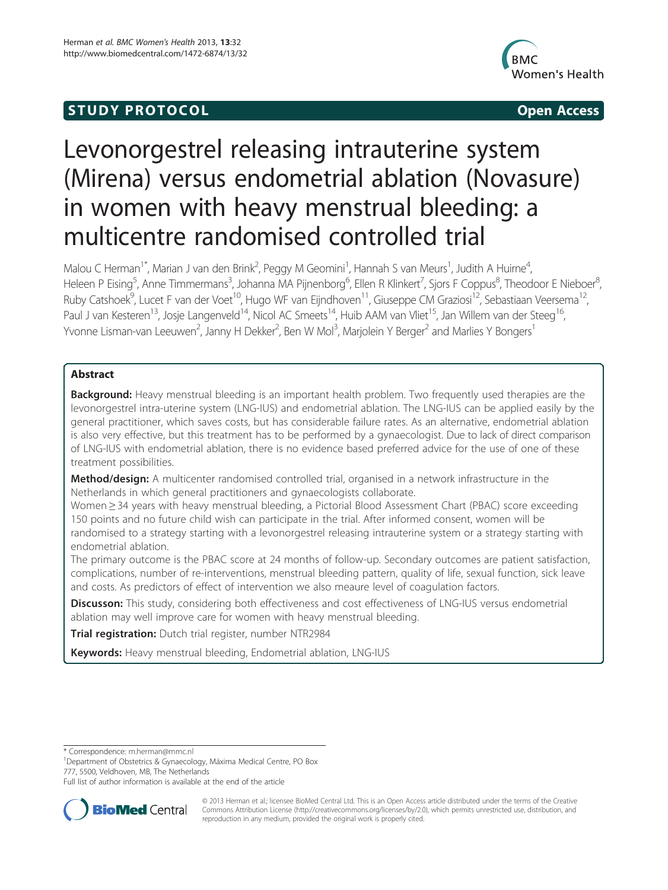# **STUDY PROTOCOL CONSUMING THE STUDY PROTOCOL**



# Levonorgestrel releasing intrauterine system (Mirena) versus endometrial ablation (Novasure) in women with heavy menstrual bleeding: a multicentre randomised controlled trial

Malou C Herman<sup>1\*</sup>, Marian J van den Brink<sup>2</sup>, Peggy M Geomini<sup>1</sup>, Hannah S van Meurs<sup>1</sup>, Judith A Huirne<sup>4</sup> , Heleen P Eising<sup>5</sup>, Anne Timmermans<sup>3</sup>, Johanna MA Pijnenborg<sup>6</sup>, Ellen R Klinkert<sup>7</sup>, Sjors F Coppus<sup>8</sup>, Theodoor E Nieboer<sup>8</sup> , Ruby Catshoek<sup>9</sup>, Lucet F van der Voet<sup>10</sup>, Hugo WF van Eijndhoven<sup>11</sup>, Giuseppe CM Graziosi<sup>12</sup>, Sebastiaan Veersema<sup>12</sup>, Paul J van Kesteren<sup>13</sup>, Josje Langenveld<sup>14</sup>, Nicol AC Smeets<sup>14</sup>, Huib AAM van Vliet<sup>15</sup>, Jan Willem van der Steeg<sup>16</sup>, Yvonne Lisman-van Leeuwen<sup>2</sup>, Janny H Dekker<sup>2</sup>, Ben W Mol<sup>3</sup>, Marjolein Y Berger<sup>2</sup> and Marlies Y Bongers<sup>1</sup>

# Abstract

**Background:** Heavy menstrual bleeding is an important health problem. Two frequently used therapies are the levonorgestrel intra-uterine system (LNG-IUS) and endometrial ablation. The LNG-IUS can be applied easily by the general practitioner, which saves costs, but has considerable failure rates. As an alternative, endometrial ablation is also very effective, but this treatment has to be performed by a gynaecologist. Due to lack of direct comparison of LNG-IUS with endometrial ablation, there is no evidence based preferred advice for the use of one of these treatment possibilities.

Method/design: A multicenter randomised controlled trial, organised in a network infrastructure in the Netherlands in which general practitioners and gynaecologists collaborate.

Women ≥ 34 years with heavy menstrual bleeding, a Pictorial Blood Assessment Chart (PBAC) score exceeding 150 points and no future child wish can participate in the trial. After informed consent, women will be randomised to a strategy starting with a levonorgestrel releasing intrauterine system or a strategy starting with endometrial ablation.

The primary outcome is the PBAC score at 24 months of follow-up. Secondary outcomes are patient satisfaction, complications, number of re-interventions, menstrual bleeding pattern, quality of life, sexual function, sick leave and costs. As predictors of effect of intervention we also meaure level of coagulation factors.

Discusson: This study, considering both effectiveness and cost effectiveness of LNG-IUS versus endometrial ablation may well improve care for women with heavy menstrual bleeding.

**Trial registration:** Dutch trial register, number [NTR2984](http://www.trialregistry.nl/NTR2984)

Keywords: Heavy menstrual bleeding, Endometrial ablation, LNG-IUS

\* Correspondence: [m.herman@mmc.nl](mailto:m.herman@mmc.nl) <sup>1</sup>

<sup>1</sup>Department of Obstetrics & Gynaecology, Máxima Medical Centre, PO Box 777, 5500, Veldhoven, MB, The Netherlands

Full list of author information is available at the end of the article



© 2013 Herman et al.; licensee BioMed Central Ltd. This is an Open Access article distributed under the terms of the Creative Commons Attribution License [\(http://creativecommons.org/licenses/by/2.0\)](http://creativecommons.org/licenses/by/2.0), which permits unrestricted use, distribution, and reproduction in any medium, provided the original work is properly cited.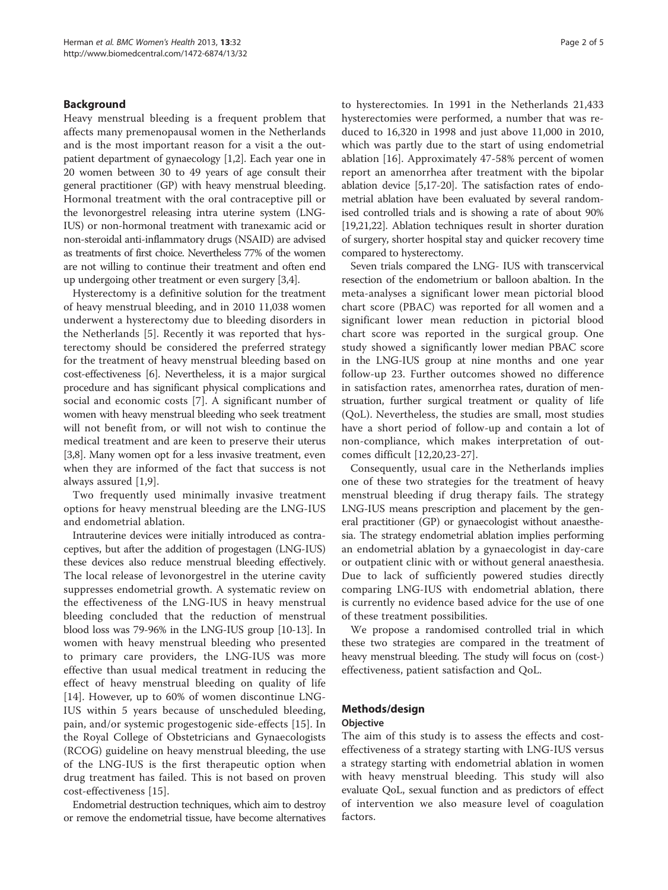## Background

Heavy menstrual bleeding is a frequent problem that affects many premenopausal women in the Netherlands and is the most important reason for a visit a the outpatient department of gynaecology [[1,2](#page-4-0)]. Each year one in 20 women between 30 to 49 years of age consult their general practitioner (GP) with heavy menstrual bleeding. Hormonal treatment with the oral contraceptive pill or the levonorgestrel releasing intra uterine system (LNG-IUS) or non-hormonal treatment with tranexamic acid or non-steroidal anti-inflammatory drugs (NSAID) are advised as treatments of first choice. Nevertheless 77% of the women are not willing to continue their treatment and often end up undergoing other treatment or even surgery [[3](#page-4-0),[4](#page-4-0)].

Hysterectomy is a definitive solution for the treatment of heavy menstrual bleeding, and in 2010 11,038 women underwent a hysterectomy due to bleeding disorders in the Netherlands [\[5](#page-4-0)]. Recently it was reported that hysterectomy should be considered the preferred strategy for the treatment of heavy menstrual bleeding based on cost-effectiveness [\[6\]](#page-4-0). Nevertheless, it is a major surgical procedure and has significant physical complications and social and economic costs [[7\]](#page-4-0). A significant number of women with heavy menstrual bleeding who seek treatment will not benefit from, or will not wish to continue the medical treatment and are keen to preserve their uterus [[3,8](#page-4-0)]. Many women opt for a less invasive treatment, even when they are informed of the fact that success is not always assured [\[1,9](#page-4-0)].

Two frequently used minimally invasive treatment options for heavy menstrual bleeding are the LNG-IUS and endometrial ablation.

Intrauterine devices were initially introduced as contraceptives, but after the addition of progestagen (LNG-IUS) these devices also reduce menstrual bleeding effectively. The local release of levonorgestrel in the uterine cavity suppresses endometrial growth. A systematic review on the effectiveness of the LNG-IUS in heavy menstrual bleeding concluded that the reduction of menstrual blood loss was 79-96% in the LNG-IUS group [[10](#page-4-0)-[13](#page-4-0)]. In women with heavy menstrual bleeding who presented to primary care providers, the LNG-IUS was more effective than usual medical treatment in reducing the effect of heavy menstrual bleeding on quality of life [[14\]](#page-4-0). However, up to 60% of women discontinue LNG-IUS within 5 years because of unscheduled bleeding, pain, and/or systemic progestogenic side-effects [\[15](#page-4-0)]. In the Royal College of Obstetricians and Gynaecologists (RCOG) guideline on heavy menstrual bleeding, the use of the LNG-IUS is the first therapeutic option when drug treatment has failed. This is not based on proven cost-effectiveness [[15\]](#page-4-0).

Endometrial destruction techniques, which aim to destroy or remove the endometrial tissue, have become alternatives to hysterectomies. In 1991 in the Netherlands 21,433 hysterectomies were performed, a number that was reduced to 16,320 in 1998 and just above 11,000 in 2010, which was partly due to the start of using endometrial ablation [[16\]](#page-4-0). Approximately 47-58% percent of women report an amenorrhea after treatment with the bipolar ablation device [\[5,17](#page-4-0)-[20\]](#page-4-0). The satisfaction rates of endometrial ablation have been evaluated by several randomised controlled trials and is showing a rate of about 90% [[19,21,22\]](#page-4-0). Ablation techniques result in shorter duration of surgery, shorter hospital stay and quicker recovery time compared to hysterectomy.

Seven trials compared the LNG- IUS with transcervical resection of the endometrium or balloon abaltion. In the meta-analyses a significant lower mean pictorial blood chart score (PBAC) was reported for all women and a significant lower mean reduction in pictorial blood chart score was reported in the surgical group. One study showed a significantly lower median PBAC score in the LNG-IUS group at nine months and one year follow-up 23. Further outcomes showed no difference in satisfaction rates, amenorrhea rates, duration of menstruation, further surgical treatment or quality of life (QoL). Nevertheless, the studies are small, most studies have a short period of follow-up and contain a lot of non-compliance, which makes interpretation of outcomes difficult [[12,20,23](#page-4-0)-[27\]](#page-4-0).

Consequently, usual care in the Netherlands implies one of these two strategies for the treatment of heavy menstrual bleeding if drug therapy fails. The strategy LNG-IUS means prescription and placement by the general practitioner (GP) or gynaecologist without anaesthesia. The strategy endometrial ablation implies performing an endometrial ablation by a gynaecologist in day-care or outpatient clinic with or without general anaesthesia. Due to lack of sufficiently powered studies directly comparing LNG-IUS with endometrial ablation, there is currently no evidence based advice for the use of one of these treatment possibilities.

We propose a randomised controlled trial in which these two strategies are compared in the treatment of heavy menstrual bleeding. The study will focus on (cost-) effectiveness, patient satisfaction and QoL.

#### Methods/design

#### **Objective**

The aim of this study is to assess the effects and costeffectiveness of a strategy starting with LNG-IUS versus a strategy starting with endometrial ablation in women with heavy menstrual bleeding. This study will also evaluate QoL, sexual function and as predictors of effect of intervention we also measure level of coagulation factors.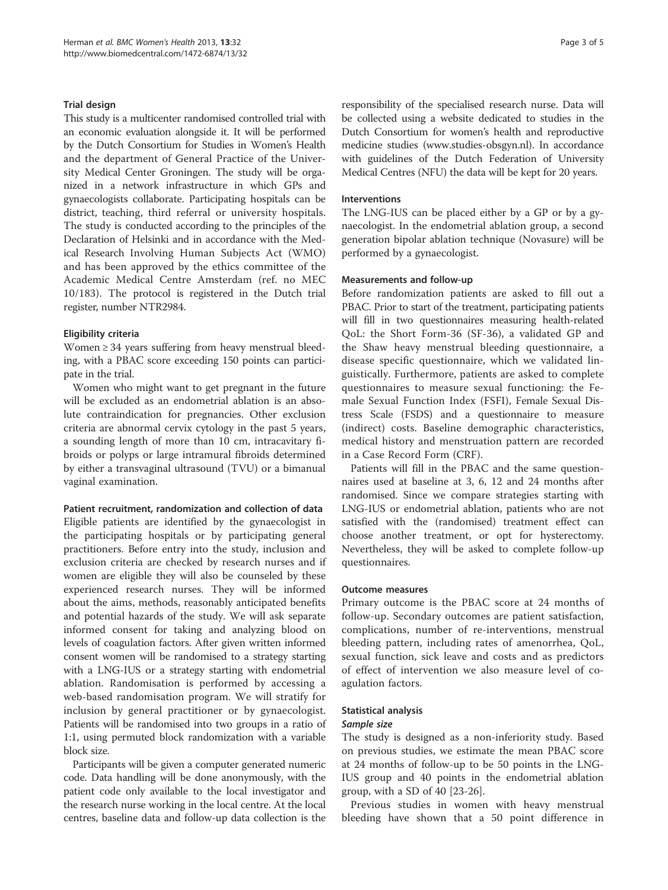#### Trial design

This study is a multicenter randomised controlled trial with an economic evaluation alongside it. It will be performed by the Dutch Consortium for Studies in Women's Health and the department of General Practice of the University Medical Center Groningen. The study will be organized in a network infrastructure in which GPs and gynaecologists collaborate. Participating hospitals can be district, teaching, third referral or university hospitals. The study is conducted according to the principles of the Declaration of Helsinki and in accordance with the Medical Research Involving Human Subjects Act (WMO) and has been approved by the ethics committee of the Academic Medical Centre Amsterdam (ref. no MEC 10/183). The protocol is registered in the Dutch trial register, number [NTR2984.](http://www.trialregistry.nl/NTR2984)

# Eligibility criteria

Women ≥ 34 years suffering from heavy menstrual bleeding, with a PBAC score exceeding 150 points can participate in the trial.

Women who might want to get pregnant in the future will be excluded as an endometrial ablation is an absolute contraindication for pregnancies. Other exclusion criteria are abnormal cervix cytology in the past 5 years, a sounding length of more than 10 cm, intracavitary fibroids or polyps or large intramural fibroids determined by either a transvaginal ultrasound (TVU) or a bimanual vaginal examination.

# Patient recruitment, randomization and collection of data

Eligible patients are identified by the gynaecologist in the participating hospitals or by participating general practitioners. Before entry into the study, inclusion and exclusion criteria are checked by research nurses and if women are eligible they will also be counseled by these experienced research nurses. They will be informed about the aims, methods, reasonably anticipated benefits and potential hazards of the study. We will ask separate informed consent for taking and analyzing blood on levels of coagulation factors. After given written informed consent women will be randomised to a strategy starting with a LNG-IUS or a strategy starting with endometrial ablation. Randomisation is performed by accessing a web-based randomisation program. We will stratify for inclusion by general practitioner or by gynaecologist. Patients will be randomised into two groups in a ratio of 1:1, using permuted block randomization with a variable block size.

Participants will be given a computer generated numeric code. Data handling will be done anonymously, with the patient code only available to the local investigator and the research nurse working in the local centre. At the local centres, baseline data and follow-up data collection is the responsibility of the specialised research nurse. Data will be collected using a website dedicated to studies in the Dutch Consortium for women's health and reproductive medicine studies [\(www.studies-obsgyn.nl](http://www.studies-obsgyn.nl)). In accordance with guidelines of the Dutch Federation of University Medical Centres (NFU) the data will be kept for 20 years.

# Interventions

The LNG-IUS can be placed either by a GP or by a gynaecologist. In the endometrial ablation group, a second generation bipolar ablation technique (Novasure) will be performed by a gynaecologist.

# Measurements and follow-up

Before randomization patients are asked to fill out a PBAC. Prior to start of the treatment, participating patients will fill in two questionnaires measuring health-related QoL: the Short Form-36 (SF-36), a validated GP and the Shaw heavy menstrual bleeding questionnaire, a disease specific questionnaire, which we validated linguistically. Furthermore, patients are asked to complete questionnaires to measure sexual functioning: the Female Sexual Function Index (FSFI), Female Sexual Distress Scale (FSDS) and a questionnaire to measure (indirect) costs. Baseline demographic characteristics, medical history and menstruation pattern are recorded in a Case Record Form (CRF).

Patients will fill in the PBAC and the same questionnaires used at baseline at 3, 6, 12 and 24 months after randomised. Since we compare strategies starting with LNG-IUS or endometrial ablation, patients who are not satisfied with the (randomised) treatment effect can choose another treatment, or opt for hysterectomy. Nevertheless, they will be asked to complete follow-up questionnaires.

#### Outcome measures

Primary outcome is the PBAC score at 24 months of follow-up. Secondary outcomes are patient satisfaction, complications, number of re-interventions, menstrual bleeding pattern, including rates of amenorrhea, QoL, sexual function, sick leave and costs and as predictors of effect of intervention we also measure level of coagulation factors.

# Statistical analysis

#### Sample size

The study is designed as a non-inferiority study. Based on previous studies, we estimate the mean PBAC score at 24 months of follow-up to be 50 points in the LNG-IUS group and 40 points in the endometrial ablation group, with a SD of  $40$  [[23-26](#page-4-0)].

Previous studies in women with heavy menstrual bleeding have shown that a 50 point difference in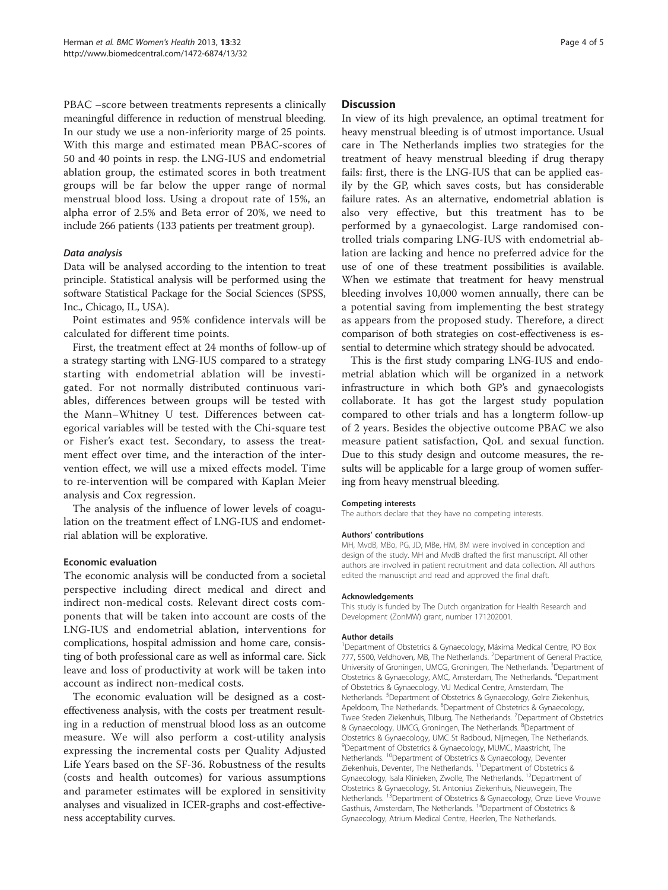PBAC –score between treatments represents a clinically meaningful difference in reduction of menstrual bleeding. In our study we use a non-inferiority marge of 25 points. With this marge and estimated mean PBAC-scores of 50 and 40 points in resp. the LNG-IUS and endometrial ablation group, the estimated scores in both treatment groups will be far below the upper range of normal menstrual blood loss. Using a dropout rate of 15%, an alpha error of 2.5% and Beta error of 20%, we need to include 266 patients (133 patients per treatment group).

## Data analysis

Data will be analysed according to the intention to treat principle. Statistical analysis will be performed using the software Statistical Package for the Social Sciences (SPSS, Inc., Chicago, IL, USA).

Point estimates and 95% confidence intervals will be calculated for different time points.

First, the treatment effect at 24 months of follow-up of a strategy starting with LNG-IUS compared to a strategy starting with endometrial ablation will be investigated. For not normally distributed continuous variables, differences between groups will be tested with the Mann–Whitney U test. Differences between categorical variables will be tested with the Chi-square test or Fisher's exact test. Secondary, to assess the treatment effect over time, and the interaction of the intervention effect, we will use a mixed effects model. Time to re-intervention will be compared with Kaplan Meier analysis and Cox regression.

The analysis of the influence of lower levels of coagulation on the treatment effect of LNG-IUS and endometrial ablation will be explorative.

#### Economic evaluation

The economic analysis will be conducted from a societal perspective including direct medical and direct and indirect non-medical costs. Relevant direct costs components that will be taken into account are costs of the LNG-IUS and endometrial ablation, interventions for complications, hospital admission and home care, consisting of both professional care as well as informal care. Sick leave and loss of productivity at work will be taken into account as indirect non-medical costs.

The economic evaluation will be designed as a costeffectiveness analysis, with the costs per treatment resulting in a reduction of menstrual blood loss as an outcome measure. We will also perform a cost-utility analysis expressing the incremental costs per Quality Adjusted Life Years based on the SF-36. Robustness of the results (costs and health outcomes) for various assumptions and parameter estimates will be explored in sensitivity analyses and visualized in ICER-graphs and cost-effectiveness acceptability curves.

#### **Discussion**

In view of its high prevalence, an optimal treatment for heavy menstrual bleeding is of utmost importance. Usual care in The Netherlands implies two strategies for the treatment of heavy menstrual bleeding if drug therapy fails: first, there is the LNG-IUS that can be applied easily by the GP, which saves costs, but has considerable failure rates. As an alternative, endometrial ablation is also very effective, but this treatment has to be performed by a gynaecologist. Large randomised controlled trials comparing LNG-IUS with endometrial ablation are lacking and hence no preferred advice for the use of one of these treatment possibilities is available. When we estimate that treatment for heavy menstrual bleeding involves 10,000 women annually, there can be a potential saving from implementing the best strategy as appears from the proposed study. Therefore, a direct comparison of both strategies on cost-effectiveness is essential to determine which strategy should be advocated.

This is the first study comparing LNG-IUS and endometrial ablation which will be organized in a network infrastructure in which both GP's and gynaecologists collaborate. It has got the largest study population compared to other trials and has a longterm follow-up of 2 years. Besides the objective outcome PBAC we also measure patient satisfaction, QoL and sexual function. Due to this study design and outcome measures, the results will be applicable for a large group of women suffering from heavy menstrual bleeding.

#### Competing interests

The authors declare that they have no competing interests.

#### Authors' contributions

MH, MvdB, MBo, PG, JD, MBe, HM, BM were involved in conception and design of the study. MH and MvdB drafted the first manuscript. All other authors are involved in patient recruitment and data collection. All authors edited the manuscript and read and approved the final draft.

#### Acknowledgements

This study is funded by The Dutch organization for Health Research and Development (ZonMW) grant, number 171202001.

#### Author details

<sup>1</sup>Department of Obstetrics & Gynaecology, Máxima Medical Centre, PO Box 777, 5500, Veldhoven, MB, The Netherlands. <sup>2</sup>Department of General Practice University of Groningen, UMCG, Groningen, The Netherlands. <sup>3</sup>Department of Obstetrics & Gynaecology, AMC, Amsterdam, The Netherlands. <sup>4</sup>Department of Obstetrics & Gynaecology, VU Medical Centre, Amsterdam, The Netherlands. <sup>5</sup>Department of Obstetrics & Gynaecology, Gelre Ziekenhuis Apeldoorn, The Netherlands. <sup>6</sup>Department of Obstetrics & Gynaecology, Twee Steden Ziekenhuis, Tilburg, The Netherlands. <sup>7</sup>Department of Obstetrics & Gynaecology, UMCG, Groningen, The Netherlands. <sup>8</sup>Department of Obstetrics & Gynaecology, UMC St Radboud, Nijmegen, The Netherlands. <sup>9</sup>Department of Obstetrics & Gynaecology, MUMC, Maastricht, The Netherlands. 10Department of Obstetrics & Gynaecology, Deventer Ziekenhuis, Deventer, The Netherlands. 11Department of Obstetrics & Gynaecology, Isala Klinieken, Zwolle, The Netherlands. 12Department of Obstetrics & Gynaecology, St. Antonius Ziekenhuis, Nieuwegein, The Netherlands. <sup>13</sup>Department of Obstetrics & Gynaecology, Onze Lieve Vrouwe Gasthuis, Amsterdam, The Netherlands. 14Department of Obstetrics & Gynaecology, Atrium Medical Centre, Heerlen, The Netherlands.